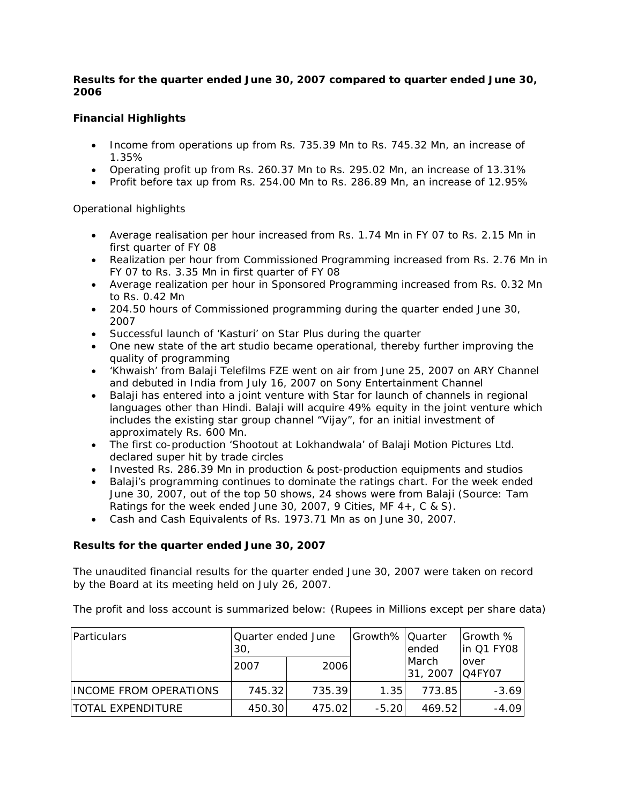# **Results for the quarter ended June 30, 2007 compared to quarter ended June 30, 2006**

# **Financial Highlights**

- Income from operations up from Rs. 735.39 Mn to Rs. 745.32 Mn, an increase of 1.35%
- Operating profit up from Rs. 260.37 Mn to Rs. 295.02 Mn, an increase of 13.31%
- Profit before tax up from Rs. 254.00 Mn to Rs. 286.89 Mn, an increase of 12.95%

# Operational highlights

- Average realisation per hour increased from Rs. 1.74 Mn in FY 07 to Rs. 2.15 Mn in first quarter of FY 08
- Realization per hour from Commissioned Programming increased from Rs. 2.76 Mn in FY 07 to Rs. 3.35 Mn in first quarter of FY 08
- Average realization per hour in Sponsored Programming increased from Rs. 0.32 Mn to Rs. 0.42 Mn
- 204.50 hours of Commissioned programming during the quarter ended June 30, 2007
- Successful launch of 'Kasturi' on Star Plus during the quarter
- One new state of the art studio became operational, thereby further improving the quality of programming
- 'Khwaish' from Balaji Telefilms FZE went on air from June 25, 2007 on ARY Channel and debuted in India from July 16, 2007 on Sony Entertainment Channel
- Balaji has entered into a joint venture with Star for launch of channels in regional languages other than Hindi. Balaji will acquire 49% equity in the joint venture which includes the existing star group channel "Vijay", for an initial investment of approximately Rs. 600 Mn.
- The first co-production 'Shootout at Lokhandwala' of Balaji Motion Pictures Ltd. declared super hit by trade circles
- Invested Rs. 286.39 Mn in production & post-production equipments and studios
- Balaji's programming continues to dominate the ratings chart. For the week ended June 30, 2007, out of the top 50 shows, 24 shows were from Balaji (Source: Tam Ratings for the week ended June 30, 2007, 9 Cities, MF 4+, C & S).
- Cash and Cash Equivalents of Rs. 1973.71 Mn as on June 30, 2007.

# *Results for the quarter ended June 30, 2007*

The unaudited financial results for the quarter ended June 30, 2007 were taken on record by the Board at its meeting held on July 26, 2007.

The profit and loss account is summarized below: (Rupees in Millions except per share data)

| <b>Particulars</b>     | Quarter ended June<br>30 |         | Growth% Quarter | ended             | Growth %<br>lin Q1 FY08 |
|------------------------|--------------------------|---------|-----------------|-------------------|-------------------------|
|                        | 2007                     | 2006    |                 | March<br>31, 2007 | over<br>IQ4FY07         |
| INCOME FROM OPERATIONS | 745.32                   | 735.39  | 1.35            | 773.85            | $-3.69$                 |
| ITOTAL EXPENDITURE     | 450.30                   | 475.021 | $-5.20$         | 469.52            | $-4.09$                 |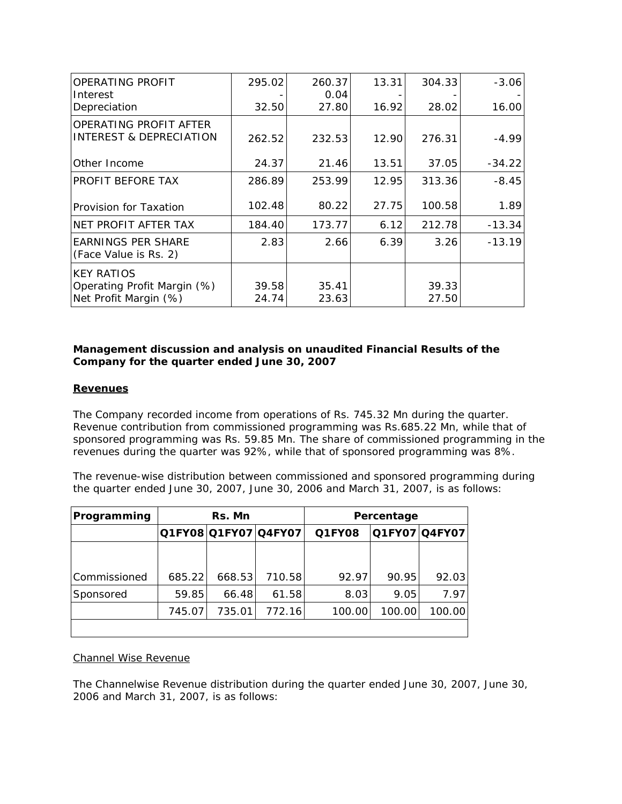| <b>OPERATING PROFIT</b>                                                   | 295.02         | 260.37         | 13.31 | 304.33         | $-3.06$  |
|---------------------------------------------------------------------------|----------------|----------------|-------|----------------|----------|
| Interest                                                                  |                | 0.04           |       |                |          |
| Depreciation                                                              | 32.50          | 27.80          | 16.92 | 28.02          | 16.00    |
| <b>OPERATING PROFIT AFTER</b><br>INTEREST & DEPRECIATION                  | 262.52         | 232.53         | 12.90 | 276.31         | $-4.99$  |
| Other Income                                                              | 24.37          | 21.46          | 13.51 | 37.05          | $-34.22$ |
| PROFIT BEFORE TAX                                                         | 286.89         | 253.99         | 12.95 | 313.36         | $-8.45$  |
| Provision for Taxation                                                    | 102.48         | 80.22          | 27.75 | 100.58         | 1.89     |
| NET PROFIT AFTER TAX                                                      | 184.40         | 173.77         | 6.12  | 212.78         | $-13.34$ |
| <b>EARNINGS PER SHARE</b><br>(Face Value is Rs. 2)                        | 2.83           | 2.66           | 6.39  | 3.26           | $-13.19$ |
| <b>KEY RATIOS</b><br>Operating Profit Margin (%)<br>Net Profit Margin (%) | 39.58<br>24.74 | 35.41<br>23.63 |       | 39.33<br>27.50 |          |

# *Management discussion and analysis on unaudited Financial Results of the Company for the quarter ended June 30, 2007*

# **Revenues**

The Company recorded income from operations of Rs. 745.32 Mn during the quarter. Revenue contribution from commissioned programming was Rs.685.22 Mn, while that of sponsored programming was Rs. 59.85 Mn. The share of commissioned programming in the revenues during the quarter was 92%, while that of sponsored programming was 8%.

The revenue-wise distribution between commissioned and sponsored programming during the quarter ended June 30, 2007, June 30, 2006 and March 31, 2007, is as follows:

| Programming  | Rs. Mn |        |                      |        | Percentage |                      |
|--------------|--------|--------|----------------------|--------|------------|----------------------|
|              |        |        | Q1FY08 Q1FY07 Q4FY07 | Q1FY08 |            | <b>Q1FY07 Q4FY07</b> |
|              |        |        |                      |        |            |                      |
| Commissioned | 685.22 | 668.53 | 710.58               | 92.97  | 90.95      | 92.03                |
| Sponsored    | 59.85  | 66.48  | 61.58                | 8.03   | 9.05       | 7.97                 |
|              | 745.07 | 735.01 | 772.16               | 100.00 | 100.00     | 100.00               |
|              |        |        |                      |        |            |                      |

# Channel Wise Revenue

The Channelwise Revenue distribution during the quarter ended June 30, 2007, June 30, 2006 and March 31, 2007, is as follows: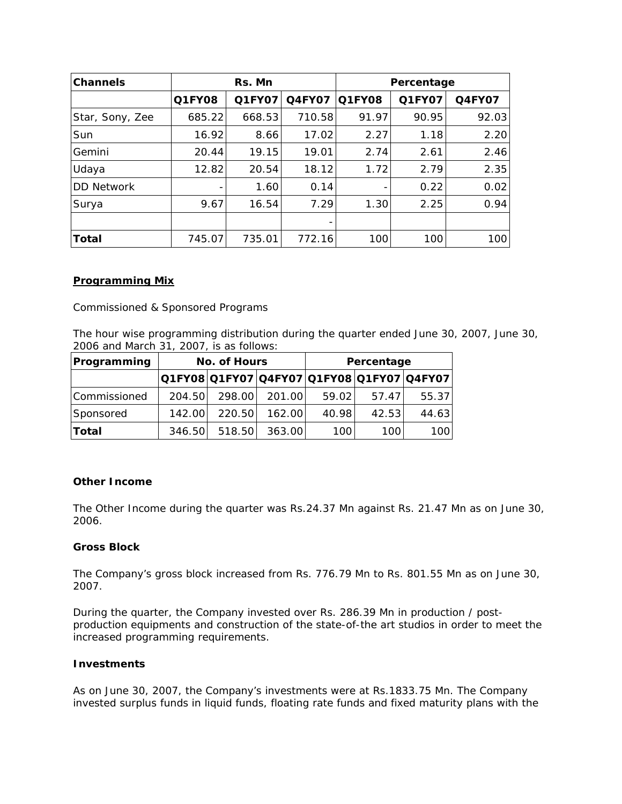| <b>Channels</b>   | Rs. Mn |        |                          | Percentage |        |               |
|-------------------|--------|--------|--------------------------|------------|--------|---------------|
|                   | Q1FY08 | Q1FY07 | <b>Q4FY07</b>            | Q1FY08     | Q1FY07 | <b>Q4FY07</b> |
| Star, Sony, Zee   | 685.22 | 668.53 | 710.58                   | 91.97      | 90.95  | 92.03         |
| Sun               | 16.92  | 8.66   | 17.02                    | 2.27       | 1.18   | 2.20          |
| Gemini            | 20.44  | 19.15  | 19.01                    | 2.74       | 2.61   | 2.46          |
| Udaya             | 12.82  | 20.54  | 18.12                    | 1.72       | 2.79   | 2.35          |
| <b>DD Network</b> |        | 1.60   | 0.14                     |            | 0.22   | 0.02          |
| Surya             | 9.67   | 16.54  | 7.29                     | 1.30       | 2.25   | 0.94          |
|                   |        |        | $\overline{\phantom{0}}$ |            |        |               |
| Total             | 745.07 | 735.01 | 772.16                   | 100        | 100    | 100           |

# *Programming Mix*

Commissioned & Sponsored Programs

The hour wise programming distribution during the quarter ended June 30, 2007, June 30, 2006 and March 31, 2007, is as follows:

| Programming  | No. of Hours |        |        |       |       |                                           | Percentage |  |
|--------------|--------------|--------|--------|-------|-------|-------------------------------------------|------------|--|
|              |              |        |        |       |       | Q1FY08 Q1FY07 Q4FY07 Q1FY08 Q1FY07 Q4FY07 |            |  |
| Commissioned | 204.50       | 298.00 | 201.00 | 59.02 | 57.47 | 55.37                                     |            |  |
| Sponsored    | 142.00       | 220.50 | 162.00 | 40.98 | 42.53 | 44.63                                     |            |  |
| <b>Total</b> | 346.50       | 518.50 | 363.00 | 100   | 100   | 100                                       |            |  |

# **Other Income**

The Other Income during the quarter was Rs.24.37 Mn against Rs. 21.47 Mn as on June 30, 2006.

# **Gross Block**

The Company's gross block increased from Rs. 776.79 Mn to Rs. 801.55 Mn as on June 30, 2007.

During the quarter, the Company invested over Rs. 286.39 Mn in production / postproduction equipments and construction of the state-of-the art studios in order to meet the increased programming requirements.

#### **Investments**

As on June 30, 2007, the Company's investments were at Rs.1833.75 Mn. The Company invested surplus funds in liquid funds, floating rate funds and fixed maturity plans with the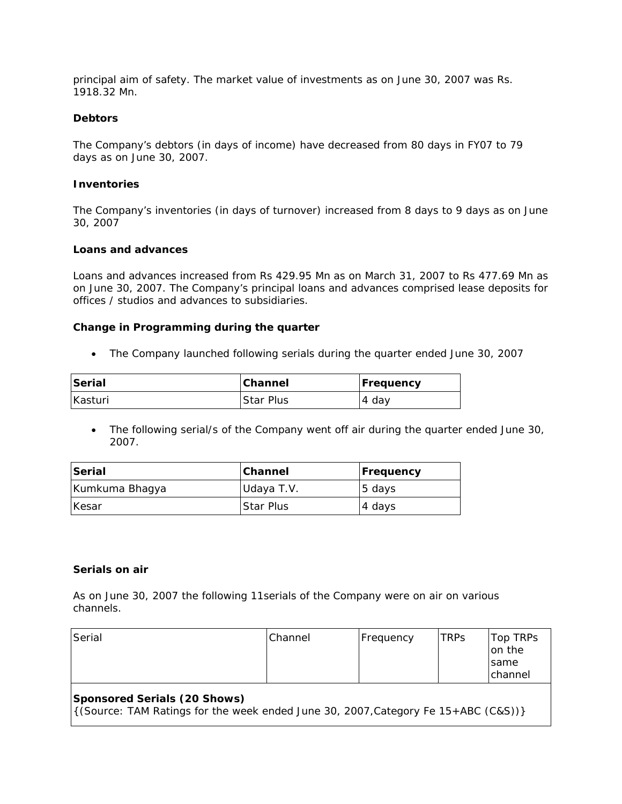principal aim of safety. The market value of investments as on June 30, 2007 was Rs. 1918.32 Mn.

#### **Debtors**

The Company's debtors (in days of income) have decreased from 80 days in FY07 to 79 days as on June 30, 2007.

#### **Inventories**

The Company's inventories (in days of turnover) increased from 8 days to 9 days as on June 30, 2007

#### **Loans and advances**

Loans and advances increased from Rs 429.95 Mn as on March 31, 2007 to Rs 477.69 Mn as on June 30, 2007. The Company's principal loans and advances comprised lease deposits for offices / studios and advances to subsidiaries.

#### **Change in Programming during the quarter**

• The Company launched following serials during the quarter ended June 30, 2007

| Serial  | Channel          | <b>Frequency</b> |
|---------|------------------|------------------|
| Kasturi | <b>Star Plus</b> | 4 day            |

• The following serial/s of the Company went off air during the quarter ended June 30, 2007.

| <b>Serial</b>  | <b>Channel</b> | <b>Frequency</b> |  |
|----------------|----------------|------------------|--|
| Kumkuma Bhagya | Udaya T.V.     | $ 5$ days        |  |
| <b>Kesar</b>   | Star Plus      | 4 days           |  |

#### **Serials on air**

*As on June 30, 2007 the following 11serials of the Company were on air on various channels.*

| Serial                                                                                                                      | Channel | Frequency | TRPs | Top TRPs<br>on the<br>same<br>Ichannel |  |  |
|-----------------------------------------------------------------------------------------------------------------------------|---------|-----------|------|----------------------------------------|--|--|
| Sponsored Serials (20 Shows)<br>$\left($ (Source: TAM Ratings for the week ended June 30, 2007, Category Fe 15+ABC (C&S)) } |         |           |      |                                        |  |  |